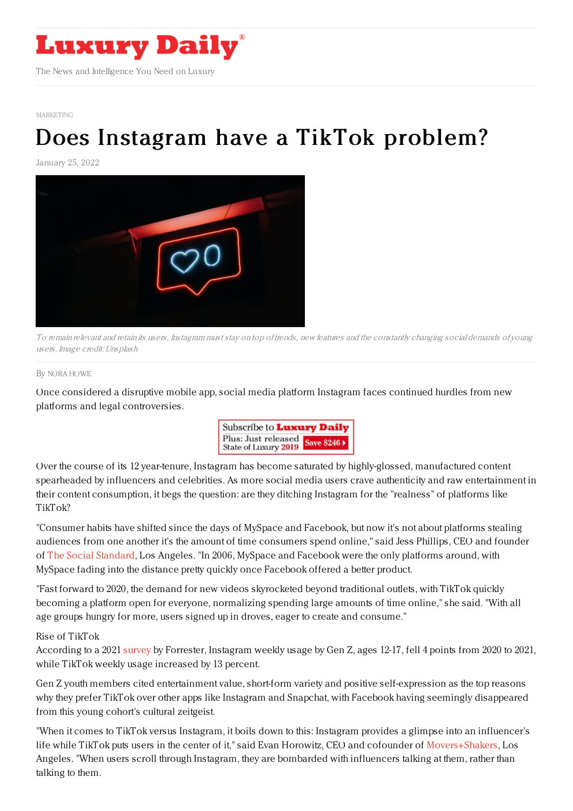

[MARKETING](https://www.luxurydaily.com/category/sectors/marketing-industry-sectors/)

# Does [Instagram](https://www.luxurydaily.com/does-instagram-have-a-facebook-problem/) have a TikTok problem?

January 25, 2022



To remain relevant and retain its users, Instagram must stay on top of trends, new features and the constantly changing social demands of young users. Image credit: Unsplash

By NORA [HOWE](file:///author/nora-howe)

Once considered a disruptive mobile app, social media platform Instagram faces continued hurdles from new platforms and legal controversies.



Over the course of its 12 year-tenure, Instagram has become saturated by highly-glossed, manufactured content spearheaded by influencers and celebrities. As more social media users crave authenticity and raw entertainment in their content consumption, it begs the question: are they ditching Instagram for the "realness" of platforms like TikTok?

"Consumer habits have shifted since the days of MySpace and Facebook, but now it's not about platforms stealing audiences from one another it's the amount of time consumers spend online," said Jess Phillips, CEO and founder of The Social [Standard](https://www.sostandard.com/), Los Angeles. "In 2006, MySpace and Facebook were the only platforms around, with MySpace fading into the distance pretty quickly once Facebook offered a better product.

"Fast forward to 2020, the demand for new videos skyrocketed beyond traditional outlets, with TikTok quickly becoming a platform open for everyone, normalizing spending large amounts of time online," she said. "With all age groups hungry for more, users signed up in droves, eager to create and consume."

#### Rise of TikTok

According to a 2021 [survey](https://www.forrester.com/blogs/weekly-usage-of-tiktok-surpasses-instagram-among-us-gen-z-youth/?ref_search=0_1642773102838) by Forrester, Instagram weekly usage by Gen Z, ages 12-17, fell 4 points from 2020 to 2021, while TikTok weekly usage increased by 13 percent.

Gen Z youth members cited entertainment value, short-form variety and positive self-expression as the top reasons why they prefer TikTok over other apps like Instagram and Snapchat, with Facebook having seemingly disappeared from this young cohort's cultural zeitgeist.

"When it comes to TikTok versus Instagram, it boils down to this: Instagram provides a glimpse into an influencer's life while TikTok puts users in the center of it," said Evan Horowitz, CEO and cofounder of [Movers+Shakers](https://moversshakers.co/), Los Angeles. "When users scroll through Instagram, they are bombarded with influencers talking at them, rather than talking to them.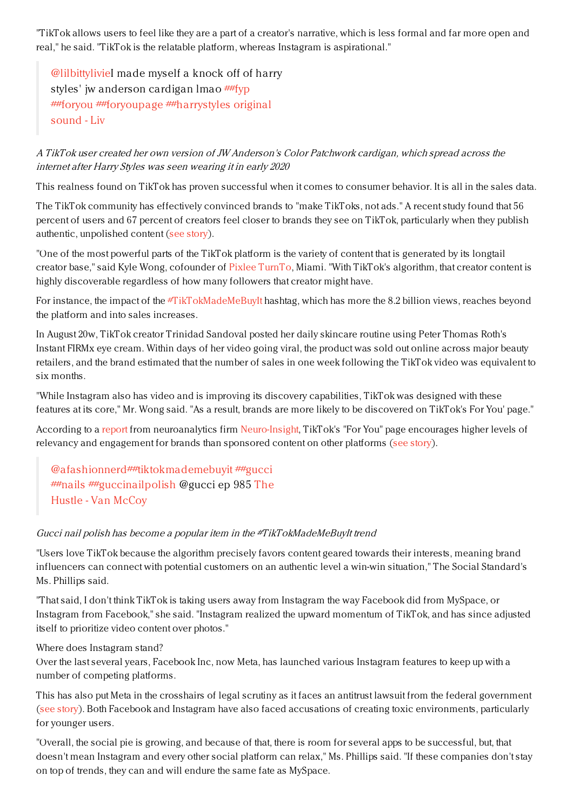"TikTok allows users to feel like they are a part of a creator's narrative, which is less formal and far more open and real," he said. "TikTok is the relatable platform, whereas Instagram is aspirational."

[@lilbittylivie](https://www.tiktok.com/@lilbittylivie)I made myself a knock off of harry styles' jw anderson cardigan Imao [##fyp](https://www.tiktok.com/tag/fyp) [##foryou](https://www.tiktok.com/tag/foryou) [#](https://www.tiktok.com/music/original-sound-6838626054651775749)[#foryoupag](https://www.tiktok.com/tag/foryoupage)[e](https://www.tiktok.com/music/original-sound-6838626054651775749) [##harrystyles](https://www.tiktok.com/tag/harrystyles) original sound - Liv

# A TikTok user created her own version of JW Anderson's Color Patchwork cardigan, which spread across the internet after Harry Styles was seen wearing it in early 2020

This realness found on TikTok has proven successful when it comes to consumer behavior. It is all in the sales data.

The TikTok community has effectively convinced brands to "make TikToks, not ads." A recent study found that 56 percent of users and 67 percent of creators feel closer to brands they see on TikTok, particularly when they publish authentic, unpolished content (see [story](https://www.luxurydaily.com/tiktok-brand-engagement-2021/)).

"One of the most powerful parts of the TikTok platform is the variety of content that is generated by its longtail creator base," said Kyle Wong, cofounder of Pixlee [TurnTo](https://www.pixlee.com/why-pixlee-turnto), Miami. "With TikTok's algorithm, that creator content is highly discoverable regardless of how many followers that creator might have.

For instance, the impact of the [#TikTokMadeMeBuyIt](https://www.tiktok.com/tag/tiktokmademebuyit?lang=en) hashtag, which has more the 8.2 billion views, reaches beyond the platform and into sales increases.

In August 20w, TikTok creator Trinidad Sandoval posted her daily skincare routine using Peter Thomas Roth's Instant FIRMx eye cream. Within days of her video going viral, the product was sold out online across major beauty retailers, and the brand estimated that the number of sales in one week following the TikTok video was equivalent to six months.

"While Instagram also has video and is improving its discovery capabilities, TikTok was designed with these features at its core," Mr. Wong said. "As a result, brands are more likely to be discovered on TikTok's For You' page."

According to a [report](https://www.neuro-insight.com/tiktok-neuro-study) from neuroanalytics firm [Neuro-Insight,](https://www.neuro-insight.com/) TikTok's "For You" page encourages higher levels of relevancy and engagement for brands than sponsored content on other platforms (see [story](https://www.luxurydaily.com/tiktok-ad-engagement/)).

[@afashionnerd](https://www.tiktok.com/@afashionnerd)[##tiktokmademebuyit](https://www.tiktok.com/tag/tiktokmademebuyit) [##gucci](https://www.tiktok.com/tag/gucci) [##nails](https://www.tiktok.com/tag/nails) [##guccinailpolish](https://www.tiktok.com/music/The-Hustle-244641803705147393) @gucci ep 985 The Hustle - Van McCoy

## Gucci nail polish has become <sup>a</sup> popular item in the #TikTokMadeMeBuyIt trend

"Users love TikTok because the algorithm precisely favors content geared towards their interests, meaning brand influencers can connect with potential customers on an authentic level a win-win situation," The Social Standard's Ms. Phillips said.

"That said, I don't think TikTok is taking users away from Instagram the way Facebook did from MySpace, or Instagram from Facebook," she said. "Instagram realized the upward momentum of TikTok, and has since adjusted itself to prioritize video content over photos."

## Where does Instagram stand?

Over the last several years, Facebook Inc, now Meta, has launched various Instagram features to keep up with a number of competing platforms.

This has also put Meta in the crosshairs of legal scrutiny as it faces an antitrust lawsuit from the federal government (see [story](https://www.luxurydaily.com/facebook-files-second-motion-to-dismiss-antitrust-lawsuit/)). Both Facebook and Instagram have also faced accusations of creating toxic environments, particularly for younger users.

"Overall, the social pie is growing, and because of that, there is room for several apps to be successful, but, that doesn't mean Instagram and every other social platform can relax," Ms. Phillips said. "If these companies don't stay on top of trends, they can and will endure the same fate as MySpace.